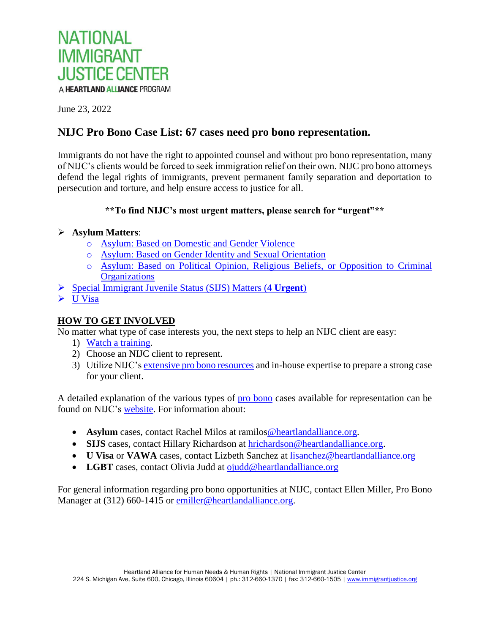

June 23, 2022

# **NIJC Pro Bono Case List: 67 cases need pro bono representation.**

Immigrants do not have the right to appointed counsel and without pro bono representation, many of NIJC's clients would be forced to seek immigration relief on their own. NIJC pro bono attorneys defend the legal rights of immigrants, prevent permanent family separation and deportation to persecution and torture, and help ensure access to justice for all.

## **\*\*To find NIJC's most urgent matters, please search for "urgent"\*\***

## **Asylum Matters**:

- o [Asylum: Based on Domestic and Gender Violence](#page-1-0)
- o [Asylum: Based on Gender Identity](#page-4-0) and Sexual Orientation
- o [Asylum: Based on Political Opinion, Religious Beliefs,](#page-6-0) or Opposition to Criminal **[Organizations](#page-6-0)**
- [Special Immigrant Juvenile Status \(SIJS\) Matters](#page-24-0) (**4 Urgent**)
- $\triangleright$  [U Visa](#page-26-0)

# **HOW TO GET INVOLVED**

No matter what type of case interests you, the next steps to help an NIJC client are easy:

- 1) [Watch a training.](https://immigrantjustice.org/for-attorneys/legal-resources?keyword=&webinar%5b190%5d=190)
- 2) Choose an NIJC client to represent.
- 3) Utilize NIJC'[s extensive pro bono resources](https://immigrantjustice.org/for-attorneys) and in-house expertise to prepare a strong case for your client.

A detailed explanation of the various types of [pro bono](http://www.immigrantjustice.org/nijc-pro-bono-opportunities) cases available for representation can be found on NIJC's [website.](http://www.immigrantjustice.org/introduction-nijcs-pro-bono-attorney-program) For information about:

- **Asylum** cases, contact Rachel Milos at ramilos @heartlandalliance.org.
- **SIJS** cases, contact Hillary Richardson at [hrichardson@heartlandalliance.org.](mailto:hrichardson@heartlandalliance.org)
- **U Visa** or **VAWA** cases, contact Lizbeth Sanchez at [lisanchez@heartlandalliance.org](mailto:tteofilo@heartlandalliance.org)
- LGBT cases, contact Olivia Judd at [ojudd@heartlandalliance.org](mailto:ojudd@heartlandalliance.org)

For general information regarding pro bono opportunities at NIJC, contact Ellen Miller, Pro Bono Manager at (312) 660-1415 or [emiller@heartlandalliance.org.](mailto:emiller@heartlandalliance.org)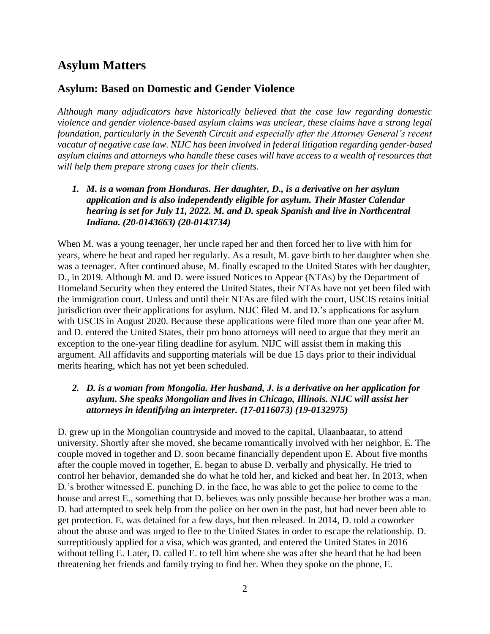# **Asylum Matters**

# <span id="page-1-0"></span>**Asylum: Based on Domestic and Gender Violence**

*Although many adjudicators have historically believed that the case law regarding domestic violence and gender violence-based asylum claims was unclear, these claims have a strong legal foundation, particularly in the Seventh Circuit and especially after the Attorney General's recent vacatur of negative case law. NIJC has been involved in federal litigation regarding gender-based asylum claims and attorneys who handle these cases will have access to a wealth of resources that will help them prepare strong cases for their clients.*

*1. M. is a woman from Honduras. Her daughter, D., is a derivative on her asylum application and is also independently eligible for asylum. Their Master Calendar hearing is set for July 11, 2022. M. and D. speak Spanish and live in Northcentral Indiana. (20-0143663) (20-0143734)*

When M. was a young teenager, her uncle raped her and then forced her to live with him for years, where he beat and raped her regularly. As a result, M. gave birth to her daughter when she was a teenager. After continued abuse, M. finally escaped to the United States with her daughter, D., in 2019. Although M. and D. were issued Notices to Appear (NTAs) by the Department of Homeland Security when they entered the United States, their NTAs have not yet been filed with the immigration court. Unless and until their NTAs are filed with the court, USCIS retains initial jurisdiction over their applications for asylum. NIJC filed M. and D.'s applications for asylum with USCIS in August 2020. Because these applications were filed more than one year after M. and D. entered the United States, their pro bono attorneys will need to argue that they merit an exception to the one-year filing deadline for asylum. NIJC will assist them in making this argument. All affidavits and supporting materials will be due 15 days prior to their individual merits hearing, which has not yet been scheduled.

# *2. D. is a woman from Mongolia. Her husband, J. is a derivative on her application for asylum. She speaks Mongolian and lives in Chicago, Illinois. NIJC will assist her attorneys in identifying an interpreter. (17-0116073) (19-0132975)*

D. grew up in the Mongolian countryside and moved to the capital, Ulaanbaatar, to attend university. Shortly after she moved, she became romantically involved with her neighbor, E. The couple moved in together and D. soon became financially dependent upon E. About five months after the couple moved in together, E. began to abuse D. verbally and physically. He tried to control her behavior, demanded she do what he told her, and kicked and beat her. In 2013, when D.'s brother witnessed E. punching D. in the face, he was able to get the police to come to the house and arrest E., something that D. believes was only possible because her brother was a man. D. had attempted to seek help from the police on her own in the past, but had never been able to get protection. E. was detained for a few days, but then released. In 2014, D. told a coworker about the abuse and was urged to flee to the United States in order to escape the relationship. D. surreptitiously applied for a visa, which was granted, and entered the United States in 2016 without telling E. Later, D. called E. to tell him where she was after she heard that he had been threatening her friends and family trying to find her. When they spoke on the phone, E.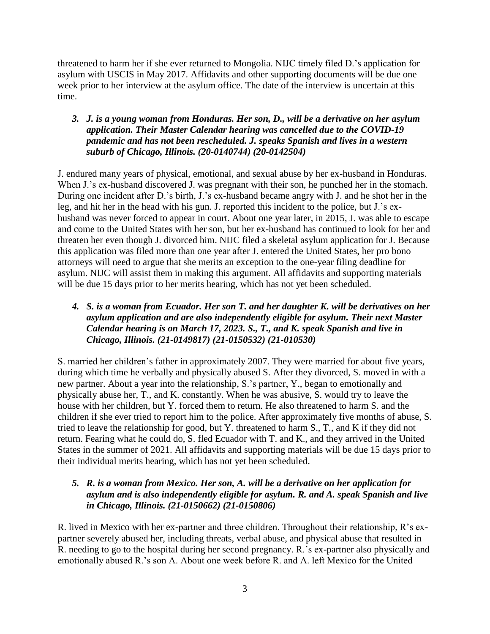threatened to harm her if she ever returned to Mongolia. NIJC timely filed D.'s application for asylum with USCIS in May 2017. Affidavits and other supporting documents will be due one week prior to her interview at the asylum office. The date of the interview is uncertain at this time.

## *3. J. is a young woman from Honduras. Her son, D., will be a derivative on her asylum application. Their Master Calendar hearing was cancelled due to the COVID-19 pandemic and has not been rescheduled. J. speaks Spanish and lives in a western suburb of Chicago, Illinois. (20-0140744) (20-0142504)*

J. endured many years of physical, emotional, and sexual abuse by her ex-husband in Honduras. When J.'s ex-husband discovered J. was pregnant with their son, he punched her in the stomach. During one incident after D.'s birth, J.'s ex-husband became angry with J. and he shot her in the leg, and hit her in the head with his gun. J. reported this incident to the police, but J.'s exhusband was never forced to appear in court. About one year later, in 2015, J. was able to escape and come to the United States with her son, but her ex-husband has continued to look for her and threaten her even though J. divorced him. NIJC filed a skeletal asylum application for J. Because this application was filed more than one year after J. entered the United States, her pro bono attorneys will need to argue that she merits an exception to the one-year filing deadline for asylum. NIJC will assist them in making this argument. All affidavits and supporting materials will be due 15 days prior to her merits hearing, which has not yet been scheduled.

## *4. S. is a woman from Ecuador. Her son T. and her daughter K. will be derivatives on her asylum application and are also independently eligible for asylum. Their next Master Calendar hearing is on March 17, 2023. S., T., and K. speak Spanish and live in Chicago, Illinois. (21-0149817) (21-0150532) (21-010530)*

S. married her children's father in approximately 2007. They were married for about five years, during which time he verbally and physically abused S. After they divorced, S. moved in with a new partner. About a year into the relationship, S.'s partner, Y., began to emotionally and physically abuse her, T., and K. constantly. When he was abusive, S. would try to leave the house with her children, but Y. forced them to return. He also threatened to harm S. and the children if she ever tried to report him to the police. After approximately five months of abuse, S. tried to leave the relationship for good, but Y. threatened to harm S., T., and K if they did not return. Fearing what he could do, S. fled Ecuador with T. and K., and they arrived in the United States in the summer of 2021. All affidavits and supporting materials will be due 15 days prior to their individual merits hearing, which has not yet been scheduled.

# *5. R. is a woman from Mexico. Her son, A. will be a derivative on her application for asylum and is also independently eligible for asylum. R. and A. speak Spanish and live in Chicago, Illinois. (21-0150662) (21-0150806)*

R. lived in Mexico with her ex-partner and three children. Throughout their relationship, R's expartner severely abused her, including threats, verbal abuse, and physical abuse that resulted in R. needing to go to the hospital during her second pregnancy. R.'s ex-partner also physically and emotionally abused R.'s son A. About one week before R. and A. left Mexico for the United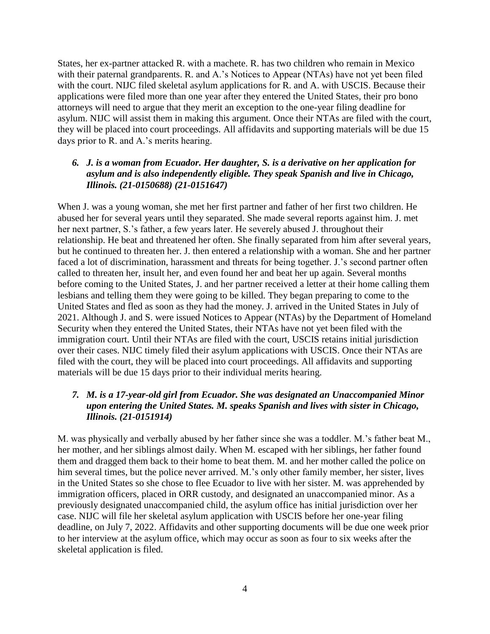States, her ex-partner attacked R. with a machete. R. has two children who remain in Mexico with their paternal grandparents. R. and A.'s Notices to Appear (NTAs) have not yet been filed with the court. NIJC filed skeletal asylum applications for R. and A. with USCIS. Because their applications were filed more than one year after they entered the United States, their pro bono attorneys will need to argue that they merit an exception to the one-year filing deadline for asylum. NIJC will assist them in making this argument. Once their NTAs are filed with the court, they will be placed into court proceedings. All affidavits and supporting materials will be due 15 days prior to R. and A.'s merits hearing.

## *6. J. is a woman from Ecuador. Her daughter, S. is a derivative on her application for asylum and is also independently eligible. They speak Spanish and live in Chicago, Illinois. (21-0150688) (21-0151647)*

When J. was a young woman, she met her first partner and father of her first two children. He abused her for several years until they separated. She made several reports against him. J. met her next partner, S.'s father, a few years later. He severely abused J. throughout their relationship. He beat and threatened her often. She finally separated from him after several years, but he continued to threaten her. J. then entered a relationship with a woman. She and her partner faced a lot of discrimination, harassment and threats for being together. J.'s second partner often called to threaten her, insult her, and even found her and beat her up again. Several months before coming to the United States, J. and her partner received a letter at their home calling them lesbians and telling them they were going to be killed. They began preparing to come to the United States and fled as soon as they had the money. J. arrived in the United States in July of 2021. Although J. and S. were issued Notices to Appear (NTAs) by the Department of Homeland Security when they entered the United States, their NTAs have not yet been filed with the immigration court. Until their NTAs are filed with the court, USCIS retains initial jurisdiction over their cases. NIJC timely filed their asylum applications with USCIS. Once their NTAs are filed with the court, they will be placed into court proceedings. All affidavits and supporting materials will be due 15 days prior to their individual merits hearing.

## *7. M. is a 17-year-old girl from Ecuador. She was designated an Unaccompanied Minor upon entering the United States. M. speaks Spanish and lives with sister in Chicago, Illinois. (21-0151914)*

M. was physically and verbally abused by her father since she was a toddler. M.'s father beat M., her mother, and her siblings almost daily. When M. escaped with her siblings, her father found them and dragged them back to their home to beat them. M. and her mother called the police on him several times, but the police never arrived. M.'s only other family member, her sister, lives in the United States so she chose to flee Ecuador to live with her sister. M. was apprehended by immigration officers, placed in ORR custody, and designated an unaccompanied minor. As a previously designated unaccompanied child, the asylum office has initial jurisdiction over her case. NIJC will file her skeletal asylum application with USCIS before her one-year filing deadline, on July 7, 2022. Affidavits and other supporting documents will be due one week prior to her interview at the asylum office, which may occur as soon as four to six weeks after the skeletal application is filed.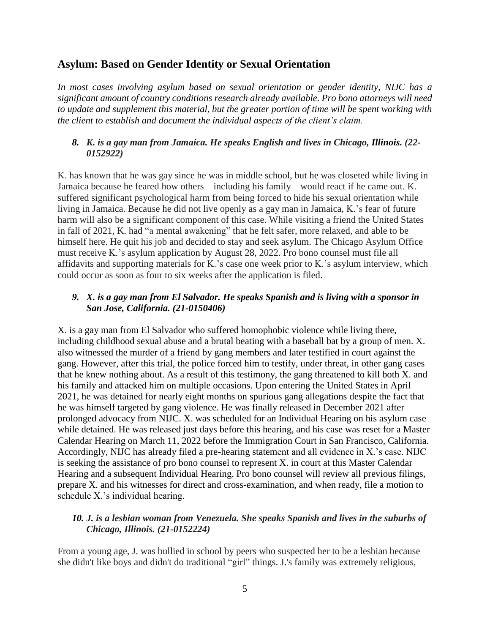# <span id="page-4-0"></span>**Asylum: Based on Gender Identity or Sexual Orientation**

*In most cases involving asylum based on sexual orientation or gender identity, NIJC has a significant amount of country conditions research already available. Pro bono attorneys will need to update and supplement this material, but the greater portion of time will be spent working with the client to establish and document the individual aspects of the client's claim.*

## *8. K. is a gay man from Jamaica. He speaks English and lives in Chicago, Illinois. (22- 0152922)*

K. has known that he was gay since he was in middle school, but he was closeted while living in Jamaica because he feared how others—including his family—would react if he came out. K. suffered significant psychological harm from being forced to hide his sexual orientation while living in Jamaica. Because he did not live openly as a gay man in Jamaica, K.'s fear of future harm will also be a significant component of this case. While visiting a friend the United States in fall of 2021, K. had "a mental awakening" that he felt safer, more relaxed, and able to be himself here. He quit his job and decided to stay and seek asylum. The Chicago Asylum Office must receive K.'s asylum application by August 28, 2022. Pro bono counsel must file all affidavits and supporting materials for K.'s case one week prior to K.'s asylum interview, which could occur as soon as four to six weeks after the application is filed.

## *9. X. is a gay man from El Salvador. He speaks Spanish and is living with a sponsor in San Jose, California. (21-0150406)*

X. is a gay man from El Salvador who suffered homophobic violence while living there, including childhood sexual abuse and a brutal beating with a baseball bat by a group of men. X. also witnessed the murder of a friend by gang members and later testified in court against the gang. However, after this trial, the police forced him to testify, under threat, in other gang cases that he knew nothing about. As a result of this testimony, the gang threatened to kill both X. and his family and attacked him on multiple occasions. Upon entering the United States in April 2021, he was detained for nearly eight months on spurious gang allegations despite the fact that he was himself targeted by gang violence. He was finally released in December 2021 after prolonged advocacy from NIJC. X. was scheduled for an Individual Hearing on his asylum case while detained. He was released just days before this hearing, and his case was reset for a Master Calendar Hearing on March 11, 2022 before the Immigration Court in San Francisco, California. Accordingly, NIJC has already filed a pre-hearing statement and all evidence in X.'s case. NIJC is seeking the assistance of pro bono counsel to represent X. in court at this Master Calendar Hearing and a subsequent Individual Hearing. Pro bono counsel will review all previous filings, prepare X. and his witnesses for direct and cross-examination, and when ready, file a motion to schedule X.'s individual hearing.

# *10. J. is a lesbian woman from Venezuela. She speaks Spanish and lives in the suburbs of Chicago, Illinois. (21-0152224)*

From a young age, J. was bullied in school by peers who suspected her to be a lesbian because she didn't like boys and didn't do traditional "girl" things. J.'s family was extremely religious,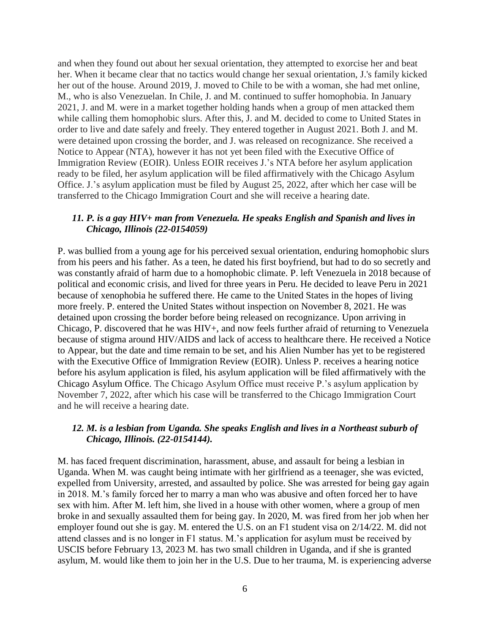and when they found out about her sexual orientation, they attempted to exorcise her and beat her. When it became clear that no tactics would change her sexual orientation, J.'s family kicked her out of the house. Around 2019, J. moved to Chile to be with a woman, she had met online, M., who is also Venezuelan. In Chile, J. and M. continued to suffer homophobia. In January 2021, J. and M. were in a market together holding hands when a group of men attacked them while calling them homophobic slurs. After this, J. and M. decided to come to United States in order to live and date safely and freely. They entered together in August 2021. Both J. and M. were detained upon crossing the border, and J. was released on recognizance. She received a Notice to Appear (NTA), however it has not yet been filed with the Executive Office of Immigration Review (EOIR). Unless EOIR receives J.'s NTA before her asylum application ready to be filed, her asylum application will be filed affirmatively with the Chicago Asylum Office. J.'s asylum application must be filed by August 25, 2022, after which her case will be transferred to the Chicago Immigration Court and she will receive a hearing date.

#### *11. P. is a gay HIV+ man from Venezuela. He speaks English and Spanish and lives in Chicago, Illinois (22-0154059)*

P. was bullied from a young age for his perceived sexual orientation, enduring homophobic slurs from his peers and his father. As a teen, he dated his first boyfriend, but had to do so secretly and was constantly afraid of harm due to a homophobic climate. P. left Venezuela in 2018 because of political and economic crisis, and lived for three years in Peru. He decided to leave Peru in 2021 because of xenophobia he suffered there. He came to the United States in the hopes of living more freely. P. entered the United States without inspection on November 8, 2021. He was detained upon crossing the border before being released on recognizance. Upon arriving in Chicago, P. discovered that he was HIV+, and now feels further afraid of returning to Venezuela because of stigma around HIV/AIDS and lack of access to healthcare there. He received a Notice to Appear, but the date and time remain to be set, and his Alien Number has yet to be registered with the Executive Office of Immigration Review (EOIR). Unless P. receives a hearing notice before his asylum application is filed, his asylum application will be filed affirmatively with the Chicago Asylum Office. The Chicago Asylum Office must receive P.'s asylum application by November 7, 2022, after which his case will be transferred to the Chicago Immigration Court and he will receive a hearing date.

## *12. M. is a lesbian from Uganda. She speaks English and lives in a Northeast suburb of Chicago, Illinois. (22-0154144).*

M. has faced frequent discrimination, harassment, abuse, and assault for being a lesbian in Uganda. When M. was caught being intimate with her girlfriend as a teenager, she was evicted, expelled from University, arrested, and assaulted by police. She was arrested for being gay again in 2018. M.'s family forced her to marry a man who was abusive and often forced her to have sex with him. After M. left him, she lived in a house with other women, where a group of men broke in and sexually assaulted them for being gay. In 2020, M. was fired from her job when her employer found out she is gay. M. entered the U.S. on an F1 student visa on 2/14/22. M. did not attend classes and is no longer in F1 status. M.'s application for asylum must be received by USCIS before February 13, 2023 M. has two small children in Uganda, and if she is granted asylum, M. would like them to join her in the U.S. Due to her trauma, M. is experiencing adverse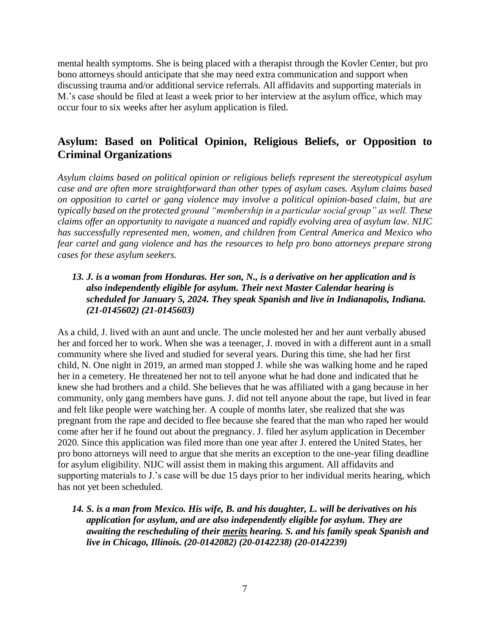mental health symptoms. She is being placed with a therapist through the Kovler Center, but pro bono attorneys should anticipate that she may need extra communication and support when discussing trauma and/or additional service referrals. All affidavits and supporting materials in M.'s case should be filed at least a week prior to her interview at the asylum office, which may occur four to six weeks after her asylum application is filed.

# <span id="page-6-0"></span>**Asylum: Based on Political Opinion, Religious Beliefs, or Opposition to Criminal Organizations**

*Asylum claims based on political opinion or religious beliefs represent the stereotypical asylum case and are often more straightforward than other types of asylum cases. Asylum claims based on opposition to cartel or gang violence may involve a political opinion-based claim, but are typically based on the protected ground "membership in a particular social group" as well. These claims offer an opportunity to navigate a nuanced and rapidly evolving area of asylum law. NIJC has successfully represented men, women, and children from Central America and Mexico who fear cartel and gang violence and has the resources to help pro bono attorneys prepare strong cases for these asylum seekers.*

## *13. J. is a woman from Honduras. Her son, N., is a derivative on her application and is also independently eligible for asylum. Their next Master Calendar hearing is scheduled for January 5, 2024. They speak Spanish and live in Indianapolis, Indiana. (21-0145602) (21-0145603)*

As a child, J. lived with an aunt and uncle. The uncle molested her and her aunt verbally abused her and forced her to work. When she was a teenager, J. moved in with a different aunt in a small community where she lived and studied for several years. During this time, she had her first child, N. One night in 2019, an armed man stopped J. while she was walking home and he raped her in a cemetery. He threatened her not to tell anyone what he had done and indicated that he knew she had brothers and a child. She believes that he was affiliated with a gang because in her community, only gang members have guns. J. did not tell anyone about the rape, but lived in fear and felt like people were watching her. A couple of months later, she realized that she was pregnant from the rape and decided to flee because she feared that the man who raped her would come after her if he found out about the pregnancy. J. filed her asylum application in December 2020. Since this application was filed more than one year after J. entered the United States, her pro bono attorneys will need to argue that she merits an exception to the one-year filing deadline for asylum eligibility. NIJC will assist them in making this argument. All affidavits and supporting materials to J.'s case will be due 15 days prior to her individual merits hearing, which has not yet been scheduled.

## *14. S. is a man from Mexico. His wife, B. and his daughter, L. will be derivatives on his application for asylum, and are also independently eligible for asylum. They are awaiting the rescheduling of their merits hearing. S. and his family speak Spanish and live in Chicago, Illinois. (20-0142082) (20-0142238) (20-0142239)*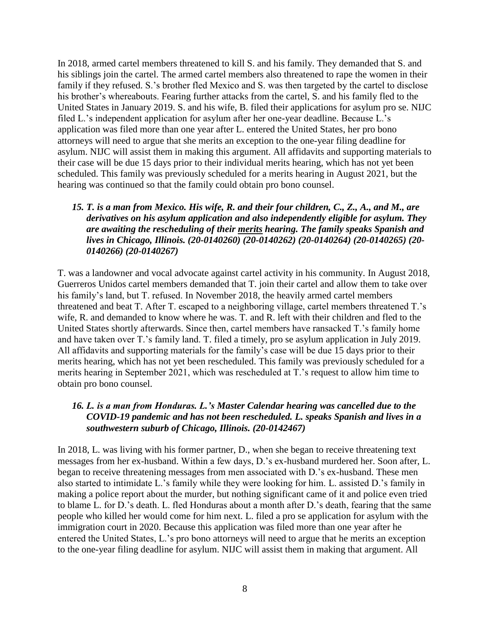In 2018, armed cartel members threatened to kill S. and his family. They demanded that S. and his siblings join the cartel. The armed cartel members also threatened to rape the women in their family if they refused. S.'s brother fled Mexico and S. was then targeted by the cartel to disclose his brother's whereabouts. Fearing further attacks from the cartel, S. and his family fled to the United States in January 2019. S. and his wife, B. filed their applications for asylum pro se. NIJC filed L.'s independent application for asylum after her one-year deadline. Because L.'s application was filed more than one year after L. entered the United States, her pro bono attorneys will need to argue that she merits an exception to the one-year filing deadline for asylum. NIJC will assist them in making this argument. All affidavits and supporting materials to their case will be due 15 days prior to their individual merits hearing, which has not yet been scheduled. This family was previously scheduled for a merits hearing in August 2021, but the hearing was continued so that the family could obtain pro bono counsel.

## *15. T. is a man from Mexico. His wife, R. and their four children, C., Z., A., and M., are derivatives on his asylum application and also independently eligible for asylum. They are awaiting the rescheduling of their merits hearing. The family speaks Spanish and lives in Chicago, Illinois. (20-0140260) (20-0140262) (20-0140264) (20-0140265) (20- 0140266) (20-0140267)*

T. was a landowner and vocal advocate against cartel activity in his community. In August 2018, Guerreros Unidos cartel members demanded that T. join their cartel and allow them to take over his family's land, but T. refused. In November 2018, the heavily armed cartel members threatened and beat T. After T. escaped to a neighboring village, cartel members threatened T.'s wife, R. and demanded to know where he was. T. and R. left with their children and fled to the United States shortly afterwards. Since then, cartel members have ransacked T.'s family home and have taken over T.'s family land. T. filed a timely, pro se asylum application in July 2019. All affidavits and supporting materials for the family's case will be due 15 days prior to their merits hearing, which has not yet been rescheduled. This family was previously scheduled for a merits hearing in September 2021, which was rescheduled at T.'s request to allow him time to obtain pro bono counsel.

## *16. L. is a man from Honduras. L.'s Master Calendar hearing was cancelled due to the COVID-19 pandemic and has not been rescheduled. L. speaks Spanish and lives in a southwestern suburb of Chicago, Illinois. (20-0142467)*

In 2018, L. was living with his former partner, D., when she began to receive threatening text messages from her ex-husband. Within a few days, D.'s ex-husband murdered her. Soon after, L. began to receive threatening messages from men associated with D.'s ex-husband. These men also started to intimidate L.'s family while they were looking for him. L. assisted D.'s family in making a police report about the murder, but nothing significant came of it and police even tried to blame L. for D.'s death. L. fled Honduras about a month after D.'s death, fearing that the same people who killed her would come for him next. L. filed a pro se application for asylum with the immigration court in 2020. Because this application was filed more than one year after he entered the United States, L.'s pro bono attorneys will need to argue that he merits an exception to the one-year filing deadline for asylum. NIJC will assist them in making that argument. All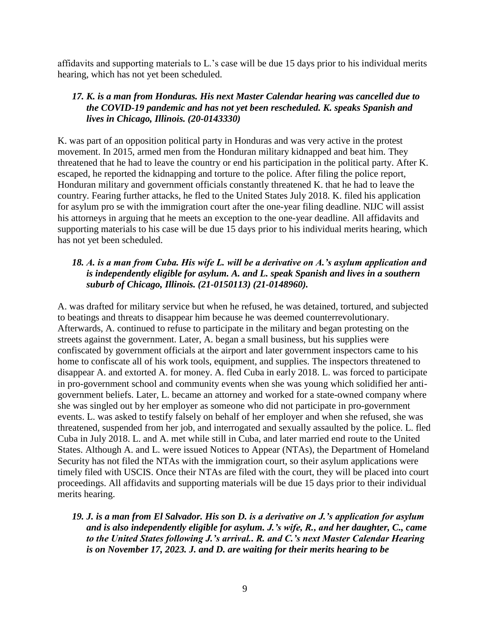affidavits and supporting materials to L.'s case will be due 15 days prior to his individual merits hearing, which has not yet been scheduled.

### *17. K. is a man from Honduras. His next Master Calendar hearing was cancelled due to the COVID-19 pandemic and has not yet been rescheduled. K. speaks Spanish and lives in Chicago, Illinois. (20-0143330)*

K. was part of an opposition political party in Honduras and was very active in the protest movement. In 2015, armed men from the Honduran military kidnapped and beat him. They threatened that he had to leave the country or end his participation in the political party. After K. escaped, he reported the kidnapping and torture to the police. After filing the police report, Honduran military and government officials constantly threatened K. that he had to leave the country. Fearing further attacks, he fled to the United States July 2018. K. filed his application for asylum pro se with the immigration court after the one-year filing deadline. NIJC will assist his attorneys in arguing that he meets an exception to the one-year deadline. All affidavits and supporting materials to his case will be due 15 days prior to his individual merits hearing, which has not yet been scheduled.

## *18. A. is a man from Cuba. His wife L. will be a derivative on A.'s asylum application and is independently eligible for asylum. A. and L. speak Spanish and lives in a southern suburb of Chicago, Illinois. (21-0150113) (21-0148960).*

A. was drafted for military service but when he refused, he was detained, tortured, and subjected to beatings and threats to disappear him because he was deemed counterrevolutionary. Afterwards, A. continued to refuse to participate in the military and began protesting on the streets against the government. Later, A. began a small business, but his supplies were confiscated by government officials at the airport and later government inspectors came to his home to confiscate all of his work tools, equipment, and supplies. The inspectors threatened to disappear A. and extorted A. for money. A. fled Cuba in early 2018. L. was forced to participate in pro-government school and community events when she was young which solidified her antigovernment beliefs. Later, L. became an attorney and worked for a state-owned company where she was singled out by her employer as someone who did not participate in pro-government events. L. was asked to testify falsely on behalf of her employer and when she refused, she was threatened, suspended from her job, and interrogated and sexually assaulted by the police. L. fled Cuba in July 2018. L. and A. met while still in Cuba, and later married end route to the United States. Although A. and L. were issued Notices to Appear (NTAs), the Department of Homeland Security has not filed the NTAs with the immigration court, so their asylum applications were timely filed with USCIS. Once their NTAs are filed with the court, they will be placed into court proceedings. All affidavits and supporting materials will be due 15 days prior to their individual merits hearing.

## *19. J. is a man from El Salvador. His son D. is a derivative on J.'s application for asylum and is also independently eligible for asylum. J.'s wife, R., and her daughter, C., came to the United States following J.'s arrival.. R. and C.'s next Master Calendar Hearing is on November 17, 2023. J. and D. are waiting for their merits hearing to be*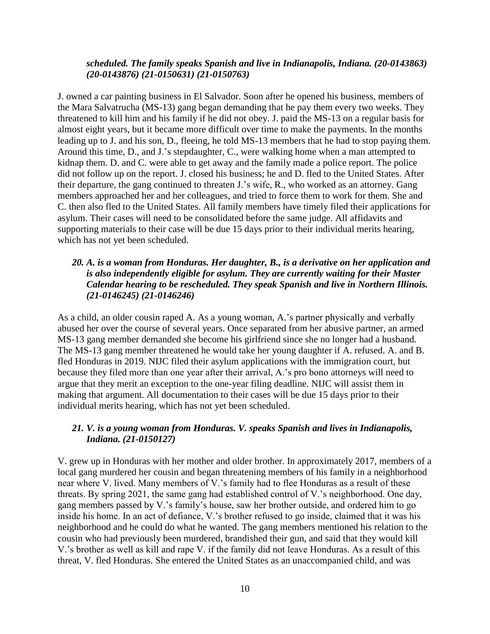#### *scheduled. The family speaks Spanish and live in Indianapolis, Indiana. (20-0143863) (20-0143876) (21-0150631) (21-0150763)*

J. owned a car painting business in El Salvador. Soon after he opened his business, members of the Mara Salvatrucha (MS-13) gang began demanding that he pay them every two weeks. They threatened to kill him and his family if he did not obey. J. paid the MS-13 on a regular basis for almost eight years, but it became more difficult over time to make the payments. In the months leading up to J. and his son, D., fleeing, he told MS-13 members that he had to stop paying them. Around this time, D., and J.'s stepdaughter, C., were walking home when a man attempted to kidnap them. D. and C. were able to get away and the family made a police report. The police did not follow up on the report. J. closed his business; he and D. fled to the United States. After their departure, the gang continued to threaten J.'s wife, R., who worked as an attorney. Gang members approached her and her colleagues, and tried to force them to work for them. She and C. then also fled to the United States. All family members have timely filed their applications for asylum. Their cases will need to be consolidated before the same judge. All affidavits and supporting materials to their case will be due 15 days prior to their individual merits hearing, which has not yet been scheduled.

### *20. A. is a woman from Honduras. Her daughter, B., is a derivative on her application and is also independently eligible for asylum. They are currently waiting for their Master Calendar hearing to be rescheduled. They speak Spanish and live in Northern Illinois. (21-0146245) (21-0146246)*

As a child, an older cousin raped A. As a young woman, A.'s partner physically and verbally abused her over the course of several years. Once separated from her abusive partner, an armed MS-13 gang member demanded she become his girlfriend since she no longer had a husband. The MS-13 gang member threatened he would take her young daughter if A. refused. A. and B. fled Honduras in 2019. NIJC filed their asylum applications with the immigration court, but because they filed more than one year after their arrival, A.'s pro bono attorneys will need to argue that they merit an exception to the one-year filing deadline. NIJC will assist them in making that argument. All documentation to their cases will be due 15 days prior to their individual merits hearing, which has not yet been scheduled.

#### *21. V. is a young woman from Honduras. V. speaks Spanish and lives in Indianapolis, Indiana. (21-0150127)*

V. grew up in Honduras with her mother and older brother. In approximately 2017, members of a local gang murdered her cousin and began threatening members of his family in a neighborhood near where V. lived. Many members of V.'s family had to flee Honduras as a result of these threats. By spring 2021, the same gang had established control of V.'s neighborhood. One day, gang members passed by V.'s family's house, saw her brother outside, and ordered him to go inside his home. In an act of defiance, V.'s brother refused to go inside, claimed that it was his neighborhood and he could do what he wanted. The gang members mentioned his relation to the cousin who had previously been murdered, brandished their gun, and said that they would kill V.'s brother as well as kill and rape V. if the family did not leave Honduras. As a result of this threat, V. fled Honduras. She entered the United States as an unaccompanied child, and was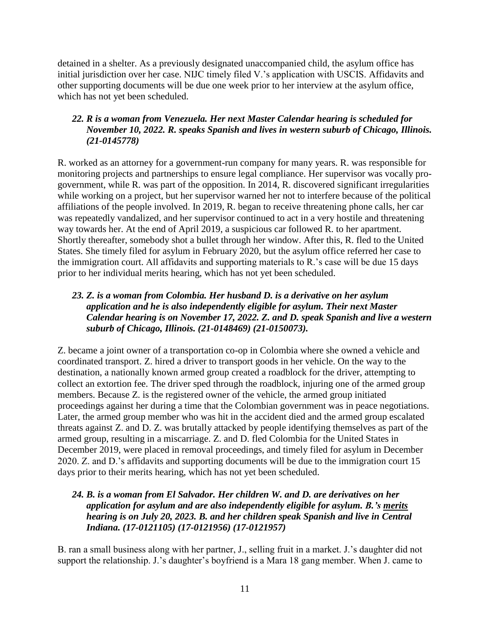detained in a shelter. As a previously designated unaccompanied child, the asylum office has initial jurisdiction over her case. NIJC timely filed V.'s application with USCIS. Affidavits and other supporting documents will be due one week prior to her interview at the asylum office, which has not yet been scheduled.

# *22. R is a woman from Venezuela. Her next Master Calendar hearing is scheduled for November 10, 2022. R. speaks Spanish and lives in western suburb of Chicago, Illinois. (21-0145778)*

R. worked as an attorney for a government-run company for many years. R. was responsible for monitoring projects and partnerships to ensure legal compliance. Her supervisor was vocally progovernment, while R. was part of the opposition. In 2014, R. discovered significant irregularities while working on a project, but her supervisor warned her not to interfere because of the political affiliations of the people involved. In 2019, R. began to receive threatening phone calls, her car was repeatedly vandalized, and her supervisor continued to act in a very hostile and threatening way towards her. At the end of April 2019, a suspicious car followed R. to her apartment. Shortly thereafter, somebody shot a bullet through her window. After this, R. fled to the United States. She timely filed for asylum in February 2020, but the asylum office referred her case to the immigration court. All affidavits and supporting materials to R.'s case will be due 15 days prior to her individual merits hearing, which has not yet been scheduled.

# *23. Z. is a woman from Colombia. Her husband D. is a derivative on her asylum application and he is also independently eligible for asylum. Their next Master Calendar hearing is on November 17, 2022. Z. and D. speak Spanish and live a western suburb of Chicago, Illinois. (21-0148469) (21-0150073).*

Z. became a joint owner of a transportation co-op in Colombia where she owned a vehicle and coordinated transport. Z. hired a driver to transport goods in her vehicle. On the way to the destination, a nationally known armed group created a roadblock for the driver, attempting to collect an extortion fee. The driver sped through the roadblock, injuring one of the armed group members. Because Z. is the registered owner of the vehicle, the armed group initiated proceedings against her during a time that the Colombian government was in peace negotiations. Later, the armed group member who was hit in the accident died and the armed group escalated threats against Z. and D. Z. was brutally attacked by people identifying themselves as part of the armed group, resulting in a miscarriage. Z. and D. fled Colombia for the United States in December 2019, were placed in removal proceedings, and timely filed for asylum in December 2020. Z. and D.'s affidavits and supporting documents will be due to the immigration court 15 days prior to their merits hearing, which has not yet been scheduled.

## *24. B. is a woman from El Salvador. Her children W. and D. are derivatives on her application for asylum and are also independently eligible for asylum. B.'s merits hearing is on July 20, 2023. B. and her children speak Spanish and live in Central Indiana. (17-0121105) (17-0121956) (17-0121957)*

B. ran a small business along with her partner, J., selling fruit in a market. J.'s daughter did not support the relationship. J.'s daughter's boyfriend is a Mara 18 gang member. When J. came to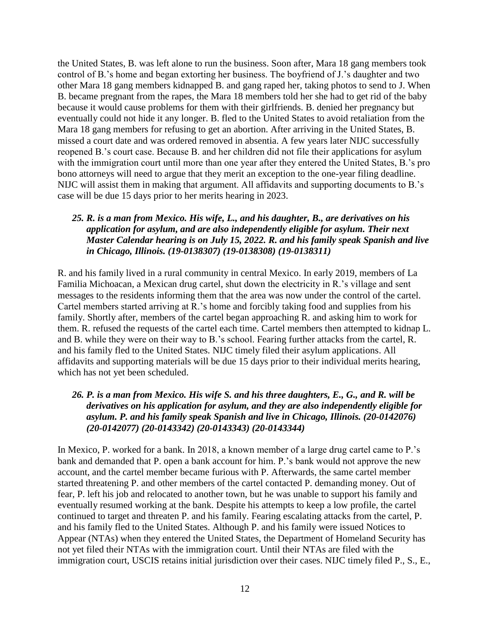the United States, B. was left alone to run the business. Soon after, Mara 18 gang members took control of B.'s home and began extorting her business. The boyfriend of J.'s daughter and two other Mara 18 gang members kidnapped B. and gang raped her, taking photos to send to J. When B. became pregnant from the rapes, the Mara 18 members told her she had to get rid of the baby because it would cause problems for them with their girlfriends. B. denied her pregnancy but eventually could not hide it any longer. B. fled to the United States to avoid retaliation from the Mara 18 gang members for refusing to get an abortion. After arriving in the United States, B. missed a court date and was ordered removed in absentia. A few years later NIJC successfully reopened B.'s court case. Because B. and her children did not file their applications for asylum with the immigration court until more than one year after they entered the United States, B.'s pro bono attorneys will need to argue that they merit an exception to the one-year filing deadline. NIJC will assist them in making that argument. All affidavits and supporting documents to B.'s case will be due 15 days prior to her merits hearing in 2023.

#### *25. R. is a man from Mexico. His wife, L., and his daughter, B., are derivatives on his application for asylum, and are also independently eligible for asylum. Their next Master Calendar hearing is on July 15, 2022. R. and his family speak Spanish and live in Chicago, Illinois. (19-0138307) (19-0138308) (19-0138311)*

R. and his family lived in a rural community in central Mexico. In early 2019, members of La Familia Michoacan, a Mexican drug cartel, shut down the electricity in R.'s village and sent messages to the residents informing them that the area was now under the control of the cartel. Cartel members started arriving at R.'s home and forcibly taking food and supplies from his family. Shortly after, members of the cartel began approaching R. and asking him to work for them. R. refused the requests of the cartel each time. Cartel members then attempted to kidnap L. and B. while they were on their way to B.'s school. Fearing further attacks from the cartel, R. and his family fled to the United States. NIJC timely filed their asylum applications. All affidavits and supporting materials will be due 15 days prior to their individual merits hearing, which has not yet been scheduled.

## *26. P. is a man from Mexico. His wife S. and his three daughters, E., G., and R. will be derivatives on his application for asylum, and they are also independently eligible for asylum. P. and his family speak Spanish and live in Chicago, Illinois. (20-0142076) (20-0142077) (20-0143342) (20-0143343) (20-0143344)*

In Mexico, P. worked for a bank. In 2018, a known member of a large drug cartel came to P.'s bank and demanded that P. open a bank account for him. P.'s bank would not approve the new account, and the cartel member became furious with P. Afterwards, the same cartel member started threatening P. and other members of the cartel contacted P. demanding money. Out of fear, P. left his job and relocated to another town, but he was unable to support his family and eventually resumed working at the bank. Despite his attempts to keep a low profile, the cartel continued to target and threaten P. and his family. Fearing escalating attacks from the cartel, P. and his family fled to the United States. Although P. and his family were issued Notices to Appear (NTAs) when they entered the United States, the Department of Homeland Security has not yet filed their NTAs with the immigration court. Until their NTAs are filed with the immigration court, USCIS retains initial jurisdiction over their cases. NIJC timely filed P., S., E.,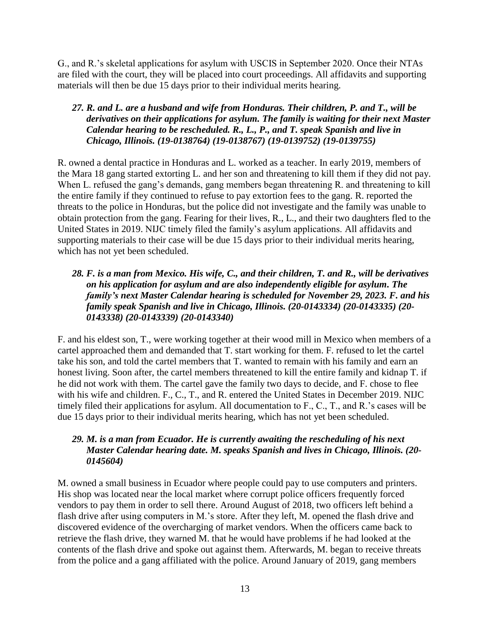G., and R.'s skeletal applications for asylum with USCIS in September 2020. Once their NTAs are filed with the court, they will be placed into court proceedings. All affidavits and supporting materials will then be due 15 days prior to their individual merits hearing.

## *27. R. and L. are a husband and wife from Honduras. Their children, P. and T., will be derivatives on their applications for asylum. The family is waiting for their next Master Calendar hearing to be rescheduled. R., L., P., and T. speak Spanish and live in Chicago, Illinois. (19-0138764) (19-0138767) (19-0139752) (19-0139755)*

R. owned a dental practice in Honduras and L. worked as a teacher. In early 2019, members of the Mara 18 gang started extorting L. and her son and threatening to kill them if they did not pay. When L. refused the gang's demands, gang members began threatening R. and threatening to kill the entire family if they continued to refuse to pay extortion fees to the gang. R. reported the threats to the police in Honduras, but the police did not investigate and the family was unable to obtain protection from the gang. Fearing for their lives, R., L., and their two daughters fled to the United States in 2019. NIJC timely filed the family's asylum applications. All affidavits and supporting materials to their case will be due 15 days prior to their individual merits hearing, which has not yet been scheduled.

## *28. F. is a man from Mexico. His wife, C., and their children, T. and R., will be derivatives on his application for asylum and are also independently eligible for asylum. The family's next Master Calendar hearing is scheduled for November 29, 2023. F. and his family speak Spanish and live in Chicago, Illinois. (20-0143334) (20-0143335) (20- 0143338) (20-0143339) (20-0143340)*

F. and his eldest son, T., were working together at their wood mill in Mexico when members of a cartel approached them and demanded that T. start working for them. F. refused to let the cartel take his son, and told the cartel members that T. wanted to remain with his family and earn an honest living. Soon after, the cartel members threatened to kill the entire family and kidnap T. if he did not work with them. The cartel gave the family two days to decide, and F. chose to flee with his wife and children. F., C., T., and R. entered the United States in December 2019. NIJC timely filed their applications for asylum. All documentation to F., C., T., and R.'s cases will be due 15 days prior to their individual merits hearing, which has not yet been scheduled.

## *29. M. is a man from Ecuador. He is currently awaiting the rescheduling of his next Master Calendar hearing date. M. speaks Spanish and lives in Chicago, Illinois. (20- 0145604)*

M. owned a small business in Ecuador where people could pay to use computers and printers. His shop was located near the local market where corrupt police officers frequently forced vendors to pay them in order to sell there. Around August of 2018, two officers left behind a flash drive after using computers in M.'s store. After they left, M. opened the flash drive and discovered evidence of the overcharging of market vendors. When the officers came back to retrieve the flash drive, they warned M. that he would have problems if he had looked at the contents of the flash drive and spoke out against them. Afterwards, M. began to receive threats from the police and a gang affiliated with the police. Around January of 2019, gang members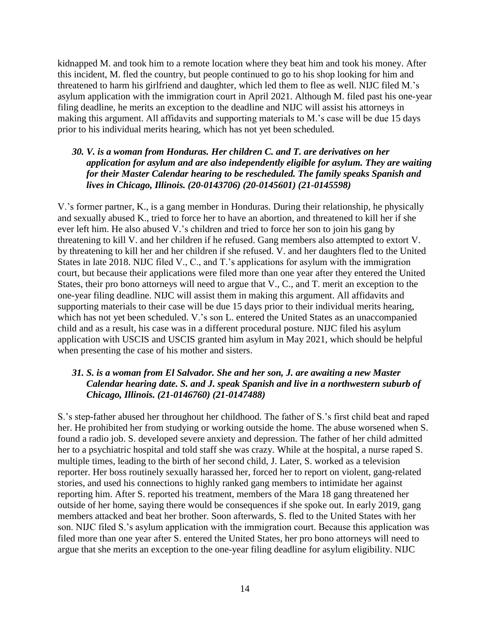kidnapped M. and took him to a remote location where they beat him and took his money. After this incident, M. fled the country, but people continued to go to his shop looking for him and threatened to harm his girlfriend and daughter, which led them to flee as well. NIJC filed M.'s asylum application with the immigration court in April 2021. Although M. filed past his one-year filing deadline, he merits an exception to the deadline and NIJC will assist his attorneys in making this argument. All affidavits and supporting materials to M.'s case will be due 15 days prior to his individual merits hearing, which has not yet been scheduled.

### *30. V. is a woman from Honduras. Her children C. and T. are derivatives on her application for asylum and are also independently eligible for asylum. They are waiting for their Master Calendar hearing to be rescheduled. The family speaks Spanish and lives in Chicago, Illinois. (20-0143706) (20-0145601) (21-0145598)*

V.'s former partner, K., is a gang member in Honduras. During their relationship, he physically and sexually abused K., tried to force her to have an abortion, and threatened to kill her if she ever left him. He also abused V.'s children and tried to force her son to join his gang by threatening to kill V. and her children if he refused. Gang members also attempted to extort V. by threatening to kill her and her children if she refused. V. and her daughters fled to the United States in late 2018. NIJC filed V., C., and T.'s applications for asylum with the immigration court, but because their applications were filed more than one year after they entered the United States, their pro bono attorneys will need to argue that V., C., and T. merit an exception to the one-year filing deadline. NIJC will assist them in making this argument. All affidavits and supporting materials to their case will be due 15 days prior to their individual merits hearing, which has not yet been scheduled. V.'s son L. entered the United States as an unaccompanied child and as a result, his case was in a different procedural posture. NIJC filed his asylum application with USCIS and USCIS granted him asylum in May 2021, which should be helpful when presenting the case of his mother and sisters.

## *31. S. is a woman from El Salvador. She and her son, J. are awaiting a new Master Calendar hearing date. S. and J. speak Spanish and live in a northwestern suburb of Chicago, Illinois. (21-0146760) (21-0147488)*

S.'s step-father abused her throughout her childhood. The father of S.'s first child beat and raped her. He prohibited her from studying or working outside the home. The abuse worsened when S. found a radio job. S. developed severe anxiety and depression. The father of her child admitted her to a psychiatric hospital and told staff she was crazy. While at the hospital, a nurse raped S. multiple times, leading to the birth of her second child, J. Later, S. worked as a television reporter. Her boss routinely sexually harassed her, forced her to report on violent, gang-related stories, and used his connections to highly ranked gang members to intimidate her against reporting him. After S. reported his treatment, members of the Mara 18 gang threatened her outside of her home, saying there would be consequences if she spoke out. In early 2019, gang members attacked and beat her brother. Soon afterwards, S. fled to the United States with her son. NIJC filed S.'s asylum application with the immigration court. Because this application was filed more than one year after S. entered the United States, her pro bono attorneys will need to argue that she merits an exception to the one-year filing deadline for asylum eligibility. NIJC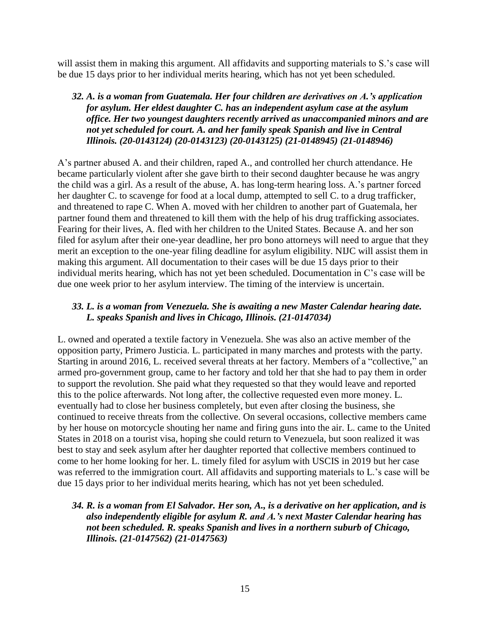will assist them in making this argument. All affidavits and supporting materials to S.'s case will be due 15 days prior to her individual merits hearing, which has not yet been scheduled.

## *32. A. is a woman from Guatemala. Her four children are derivatives on A.'s application for asylum. Her eldest daughter C. has an independent asylum case at the asylum office. Her two youngest daughters recently arrived as unaccompanied minors and are not yet scheduled for court. A. and her family speak Spanish and live in Central Illinois. (20-0143124) (20-0143123) (20-0143125) (21-0148945) (21-0148946)*

A's partner abused A. and their children, raped A., and controlled her church attendance. He became particularly violent after she gave birth to their second daughter because he was angry the child was a girl. As a result of the abuse, A. has long-term hearing loss. A.'s partner forced her daughter C. to scavenge for food at a local dump, attempted to sell C. to a drug trafficker, and threatened to rape C. When A. moved with her children to another part of Guatemala, her partner found them and threatened to kill them with the help of his drug trafficking associates. Fearing for their lives, A. fled with her children to the United States. Because A. and her son filed for asylum after their one-year deadline, her pro bono attorneys will need to argue that they merit an exception to the one-year filing deadline for asylum eligibility. NIJC will assist them in making this argument. All documentation to their cases will be due 15 days prior to their individual merits hearing, which has not yet been scheduled. Documentation in C's case will be due one week prior to her asylum interview. The timing of the interview is uncertain.

## *33. L. is a woman from Venezuela. She is awaiting a new Master Calendar hearing date. L. speaks Spanish and lives in Chicago, Illinois. (21-0147034)*

L. owned and operated a textile factory in Venezuela. She was also an active member of the opposition party, Primero Justicia. L. participated in many marches and protests with the party. Starting in around 2016, L. received several threats at her factory. Members of a "collective," an armed pro-government group, came to her factory and told her that she had to pay them in order to support the revolution. She paid what they requested so that they would leave and reported this to the police afterwards. Not long after, the collective requested even more money. L. eventually had to close her business completely, but even after closing the business, she continued to receive threats from the collective. On several occasions, collective members came by her house on motorcycle shouting her name and firing guns into the air. L. came to the United States in 2018 on a tourist visa, hoping she could return to Venezuela, but soon realized it was best to stay and seek asylum after her daughter reported that collective members continued to come to her home looking for her. L. timely filed for asylum with USCIS in 2019 but her case was referred to the immigration court. All affidavits and supporting materials to L.'s case will be due 15 days prior to her individual merits hearing, which has not yet been scheduled.

## *34. R. is a woman from El Salvador. Her son, A., is a derivative on her application, and is also independently eligible for asylum R. and A.'s next Master Calendar hearing has not been scheduled. R. speaks Spanish and lives in a northern suburb of Chicago, Illinois. (21-0147562) (21-0147563)*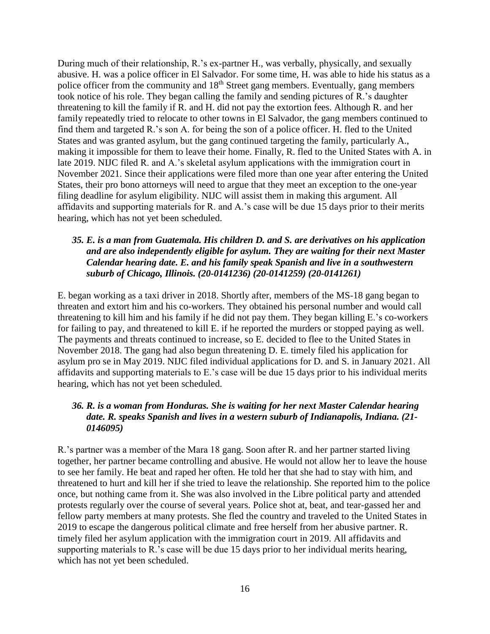During much of their relationship, R.'s ex-partner H., was verbally, physically, and sexually abusive. H. was a police officer in El Salvador. For some time, H. was able to hide his status as a police officer from the community and 18<sup>th</sup> Street gang members. Eventually, gang members took notice of his role. They began calling the family and sending pictures of R.'s daughter threatening to kill the family if R. and H. did not pay the extortion fees. Although R. and her family repeatedly tried to relocate to other towns in El Salvador, the gang members continued to find them and targeted R.'s son A. for being the son of a police officer. H. fled to the United States and was granted asylum, but the gang continued targeting the family, particularly A., making it impossible for them to leave their home. Finally, R. fled to the United States with A. in late 2019. NIJC filed R. and A.'s skeletal asylum applications with the immigration court in November 2021. Since their applications were filed more than one year after entering the United States, their pro bono attorneys will need to argue that they meet an exception to the one-year filing deadline for asylum eligibility. NIJC will assist them in making this argument. All affidavits and supporting materials for R. and A.'s case will be due 15 days prior to their merits hearing, which has not yet been scheduled.

## *35. E. is a man from Guatemala. His children D. and S. are derivatives on his application and are also independently eligible for asylum. They are waiting for their next Master Calendar hearing date. E. and his family speak Spanish and live in a southwestern suburb of Chicago, Illinois. (20-0141236) (20-0141259) (20-0141261)*

E. began working as a taxi driver in 2018. Shortly after, members of the MS-18 gang began to threaten and extort him and his co-workers. They obtained his personal number and would call threatening to kill him and his family if he did not pay them. They began killing E.'s co-workers for failing to pay, and threatened to kill E. if he reported the murders or stopped paying as well. The payments and threats continued to increase, so E. decided to flee to the United States in November 2018. The gang had also begun threatening D. E. timely filed his application for asylum pro se in May 2019. NIJC filed individual applications for D. and S. in January 2021. All affidavits and supporting materials to E.'s case will be due 15 days prior to his individual merits hearing, which has not yet been scheduled.

## *36. R. is a woman from Honduras. She is waiting for her next Master Calendar hearing date. R. speaks Spanish and lives in a western suburb of Indianapolis, Indiana. (21- 0146095)*

R.'s partner was a member of the Mara 18 gang. Soon after R. and her partner started living together, her partner became controlling and abusive. He would not allow her to leave the house to see her family. He beat and raped her often. He told her that she had to stay with him, and threatened to hurt and kill her if she tried to leave the relationship. She reported him to the police once, but nothing came from it. She was also involved in the Libre political party and attended protests regularly over the course of several years. Police shot at, beat, and tear-gassed her and fellow party members at many protests. She fled the country and traveled to the United States in 2019 to escape the dangerous political climate and free herself from her abusive partner. R. timely filed her asylum application with the immigration court in 2019. All affidavits and supporting materials to R.'s case will be due 15 days prior to her individual merits hearing, which has not yet been scheduled.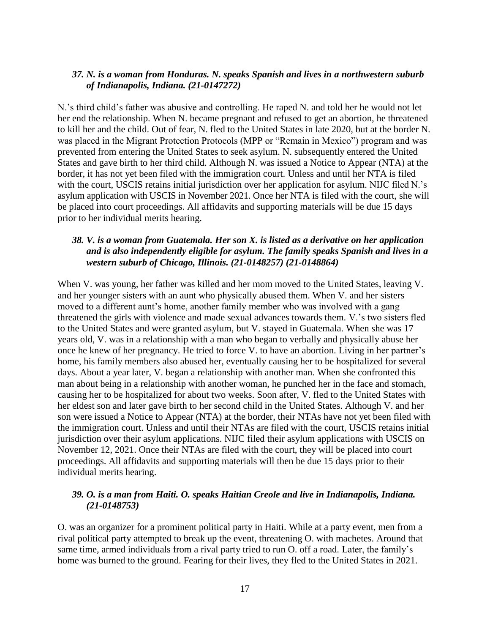#### *37. N. is a woman from Honduras. N. speaks Spanish and lives in a northwestern suburb of Indianapolis, Indiana. (21-0147272)*

N.'s third child's father was abusive and controlling. He raped N. and told her he would not let her end the relationship. When N. became pregnant and refused to get an abortion, he threatened to kill her and the child. Out of fear, N. fled to the United States in late 2020, but at the border N. was placed in the Migrant Protection Protocols (MPP or "Remain in Mexico") program and was prevented from entering the United States to seek asylum. N. subsequently entered the United States and gave birth to her third child. Although N. was issued a Notice to Appear (NTA) at the border, it has not yet been filed with the immigration court. Unless and until her NTA is filed with the court, USCIS retains initial jurisdiction over her application for asylum. NIJC filed N.'s asylum application with USCIS in November 2021. Once her NTA is filed with the court, she will be placed into court proceedings. All affidavits and supporting materials will be due 15 days prior to her individual merits hearing.

## *38. V. is a woman from Guatemala. Her son X. is listed as a derivative on her application and is also independently eligible for asylum. The family speaks Spanish and lives in a western suburb of Chicago, Illinois. (21-0148257) (21-0148864)*

When V. was young, her father was killed and her mom moved to the United States, leaving V. and her younger sisters with an aunt who physically abused them. When V. and her sisters moved to a different aunt's home, another family member who was involved with a gang threatened the girls with violence and made sexual advances towards them. V.'s two sisters fled to the United States and were granted asylum, but V. stayed in Guatemala. When she was 17 years old, V. was in a relationship with a man who began to verbally and physically abuse her once he knew of her pregnancy. He tried to force V. to have an abortion. Living in her partner's home, his family members also abused her, eventually causing her to be hospitalized for several days. About a year later, V. began a relationship with another man. When she confronted this man about being in a relationship with another woman, he punched her in the face and stomach, causing her to be hospitalized for about two weeks. Soon after, V. fled to the United States with her eldest son and later gave birth to her second child in the United States. Although V. and her son were issued a Notice to Appear (NTA) at the border, their NTAs have not yet been filed with the immigration court. Unless and until their NTAs are filed with the court, USCIS retains initial jurisdiction over their asylum applications. NIJC filed their asylum applications with USCIS on November 12, 2021. Once their NTAs are filed with the court, they will be placed into court proceedings. All affidavits and supporting materials will then be due 15 days prior to their individual merits hearing.

#### *39. O. is a man from Haiti. O. speaks Haitian Creole and live in Indianapolis, Indiana. (21-0148753)*

O. was an organizer for a prominent political party in Haiti. While at a party event, men from a rival political party attempted to break up the event, threatening O. with machetes. Around that same time, armed individuals from a rival party tried to run O. off a road. Later, the family's home was burned to the ground. Fearing for their lives, they fled to the United States in 2021.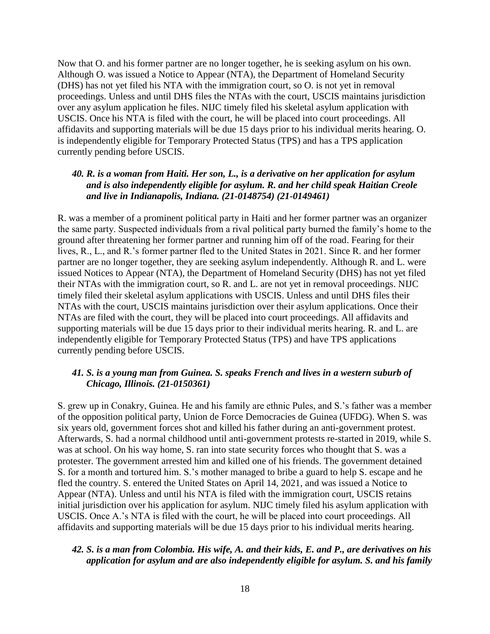Now that O. and his former partner are no longer together, he is seeking asylum on his own. Although O. was issued a Notice to Appear (NTA), the Department of Homeland Security (DHS) has not yet filed his NTA with the immigration court, so O. is not yet in removal proceedings. Unless and until DHS files the NTAs with the court, USCIS maintains jurisdiction over any asylum application he files. NIJC timely filed his skeletal asylum application with USCIS. Once his NTA is filed with the court, he will be placed into court proceedings. All affidavits and supporting materials will be due 15 days prior to his individual merits hearing. O. is independently eligible for Temporary Protected Status (TPS) and has a TPS application currently pending before USCIS.

## *40. R. is a woman from Haiti. Her son, L., is a derivative on her application for asylum and is also independently eligible for asylum. R. and her child speak Haitian Creole and live in Indianapolis, Indiana. (21-0148754) (21-0149461)*

R. was a member of a prominent political party in Haiti and her former partner was an organizer the same party. Suspected individuals from a rival political party burned the family's home to the ground after threatening her former partner and running him off of the road. Fearing for their lives, R., L., and R.'s former partner fled to the United States in 2021. Since R. and her former partner are no longer together, they are seeking asylum independently. Although R. and L. were issued Notices to Appear (NTA), the Department of Homeland Security (DHS) has not yet filed their NTAs with the immigration court, so R. and L. are not yet in removal proceedings. NIJC timely filed their skeletal asylum applications with USCIS. Unless and until DHS files their NTAs with the court, USCIS maintains jurisdiction over their asylum applications. Once their NTAs are filed with the court, they will be placed into court proceedings. All affidavits and supporting materials will be due 15 days prior to their individual merits hearing. R. and L. are independently eligible for Temporary Protected Status (TPS) and have TPS applications currently pending before USCIS.

## *41. S. is a young man from Guinea. S. speaks French and lives in a western suburb of Chicago, Illinois. (21-0150361)*

S. grew up in Conakry, Guinea. He and his family are ethnic Pules, and S.'s father was a member of the opposition political party, Union de Force Democracies de Guinea (UFDG). When S. was six years old, government forces shot and killed his father during an anti-government protest. Afterwards, S. had a normal childhood until anti-government protests re-started in 2019, while S. was at school. On his way home, S. ran into state security forces who thought that S. was a protester. The government arrested him and killed one of his friends. The government detained S. for a month and tortured him. S.'s mother managed to bribe a guard to help S. escape and he fled the country. S. entered the United States on April 14, 2021, and was issued a Notice to Appear (NTA). Unless and until his NTA is filed with the immigration court, USCIS retains initial jurisdiction over his application for asylum. NIJC timely filed his asylum application with USCIS. Once A.'s NTA is filed with the court, he will be placed into court proceedings. All affidavits and supporting materials will be due 15 days prior to his individual merits hearing.

## *42. S. is a man from Colombia. His wife, A. and their kids, E. and P., are derivatives on his application for asylum and are also independently eligible for asylum. S. and his family*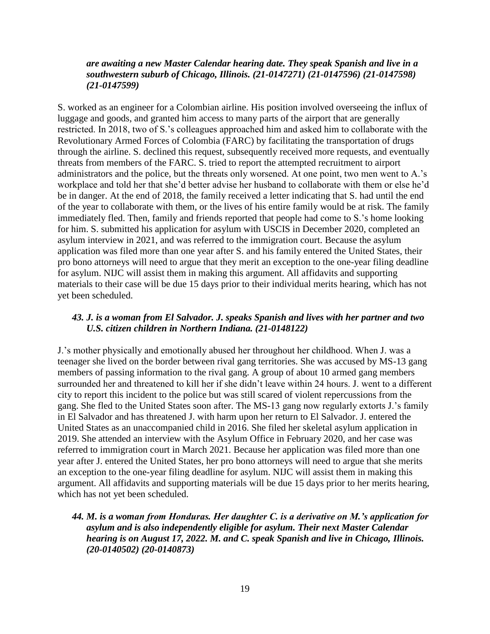#### *are awaiting a new Master Calendar hearing date. They speak Spanish and live in a southwestern suburb of Chicago, Illinois. (21-0147271) (21-0147596) (21-0147598) (21-0147599)*

S. worked as an engineer for a Colombian airline. His position involved overseeing the influx of luggage and goods, and granted him access to many parts of the airport that are generally restricted. In 2018, two of S.'s colleagues approached him and asked him to collaborate with the Revolutionary Armed Forces of Colombia (FARC) by facilitating the transportation of drugs through the airline. S. declined this request, subsequently received more requests, and eventually threats from members of the FARC. S. tried to report the attempted recruitment to airport administrators and the police, but the threats only worsened. At one point, two men went to A.'s workplace and told her that she'd better advise her husband to collaborate with them or else he'd be in danger. At the end of 2018, the family received a letter indicating that S. had until the end of the year to collaborate with them, or the lives of his entire family would be at risk. The family immediately fled. Then, family and friends reported that people had come to S.'s home looking for him. S. submitted his application for asylum with USCIS in December 2020, completed an asylum interview in 2021, and was referred to the immigration court. Because the asylum application was filed more than one year after S. and his family entered the United States, their pro bono attorneys will need to argue that they merit an exception to the one-year filing deadline for asylum. NIJC will assist them in making this argument. All affidavits and supporting materials to their case will be due 15 days prior to their individual merits hearing, which has not yet been scheduled.

### *43. J. is a woman from El Salvador. J. speaks Spanish and lives with her partner and two U.S. citizen children in Northern Indiana. (21-0148122)*

J.'s mother physically and emotionally abused her throughout her childhood. When J. was a teenager she lived on the border between rival gang territories. She was accused by MS-13 gang members of passing information to the rival gang. A group of about 10 armed gang members surrounded her and threatened to kill her if she didn't leave within 24 hours. J. went to a different city to report this incident to the police but was still scared of violent repercussions from the gang. She fled to the United States soon after. The MS-13 gang now regularly extorts J.'s family in El Salvador and has threatened J. with harm upon her return to El Salvador. J. entered the United States as an unaccompanied child in 2016. She filed her skeletal asylum application in 2019. She attended an interview with the Asylum Office in February 2020, and her case was referred to immigration court in March 2021. Because her application was filed more than one year after J. entered the United States, her pro bono attorneys will need to argue that she merits an exception to the one-year filing deadline for asylum. NIJC will assist them in making this argument. All affidavits and supporting materials will be due 15 days prior to her merits hearing, which has not yet been scheduled.

## *44. M. is a woman from Honduras. Her daughter C. is a derivative on M.'s application for asylum and is also independently eligible for asylum. Their next Master Calendar hearing is on August 17, 2022. M. and C. speak Spanish and live in Chicago, Illinois. (20-0140502) (20-0140873)*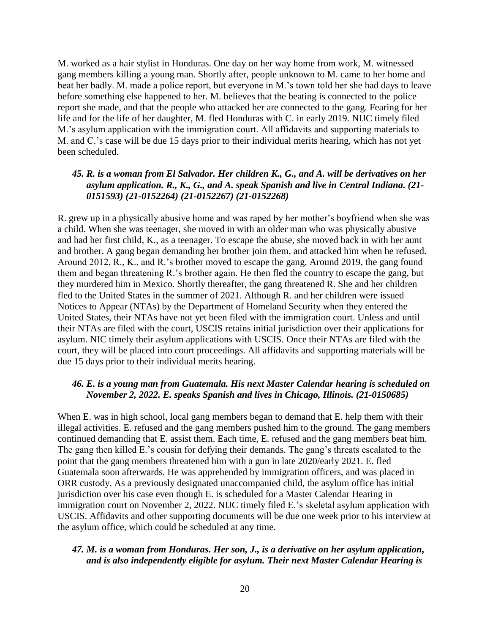M. worked as a hair stylist in Honduras. One day on her way home from work, M. witnessed gang members killing a young man. Shortly after, people unknown to M. came to her home and beat her badly. M. made a police report, but everyone in M.'s town told her she had days to leave before something else happened to her. M. believes that the beating is connected to the police report she made, and that the people who attacked her are connected to the gang. Fearing for her life and for the life of her daughter, M. fled Honduras with C. in early 2019. NIJC timely filed M.'s asylum application with the immigration court. All affidavits and supporting materials to M. and C.'s case will be due 15 days prior to their individual merits hearing, which has not yet been scheduled.

#### *45. R. is a woman from El Salvador. Her children K., G., and A. will be derivatives on her asylum application. R., K., G., and A. speak Spanish and live in Central Indiana. (21- 0151593) (21-0152264) (21-0152267) (21-0152268)*

R. grew up in a physically abusive home and was raped by her mother's boyfriend when she was a child. When she was teenager, she moved in with an older man who was physically abusive and had her first child, K., as a teenager. To escape the abuse, she moved back in with her aunt and brother. A gang began demanding her brother join them, and attacked him when he refused. Around 2012, R., K., and R.'s brother moved to escape the gang. Around 2019, the gang found them and began threatening R.'s brother again. He then fled the country to escape the gang, but they murdered him in Mexico. Shortly thereafter, the gang threatened R. She and her children fled to the United States in the summer of 2021. Although R. and her children were issued Notices to Appear (NTAs) by the Department of Homeland Security when they entered the United States, their NTAs have not yet been filed with the immigration court. Unless and until their NTAs are filed with the court, USCIS retains initial jurisdiction over their applications for asylum. NIC timely their asylum applications with USCIS. Once their NTAs are filed with the court, they will be placed into court proceedings. All affidavits and supporting materials will be due 15 days prior to their individual merits hearing.

## *46. E. is a young man from Guatemala. His next Master Calendar hearing is scheduled on November 2, 2022. E. speaks Spanish and lives in Chicago, Illinois. (21-0150685)*

When E. was in high school, local gang members began to demand that E. help them with their illegal activities. E. refused and the gang members pushed him to the ground. The gang members continued demanding that E. assist them. Each time, E. refused and the gang members beat him. The gang then killed E.'s cousin for defying their demands. The gang's threats escalated to the point that the gang members threatened him with a gun in late 2020/early 2021. E. fled Guatemala soon afterwards. He was apprehended by immigration officers, and was placed in ORR custody. As a previously designated unaccompanied child, the asylum office has initial jurisdiction over his case even though E. is scheduled for a Master Calendar Hearing in immigration court on November 2, 2022. NIJC timely filed E.'s skeletal asylum application with USCIS. Affidavits and other supporting documents will be due one week prior to his interview at the asylum office, which could be scheduled at any time.

#### *47. M. is a woman from Honduras. Her son, J., is a derivative on her asylum application, and is also independently eligible for asylum. Their next Master Calendar Hearing is*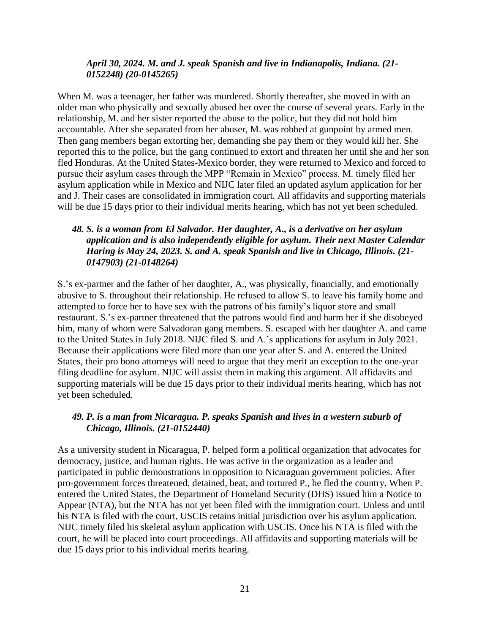#### *April 30, 2024. M. and J. speak Spanish and live in Indianapolis, Indiana. (21- 0152248) (20-0145265)*

When M. was a teenager, her father was murdered. Shortly thereafter, she moved in with an older man who physically and sexually abused her over the course of several years. Early in the relationship, M. and her sister reported the abuse to the police, but they did not hold him accountable. After she separated from her abuser, M. was robbed at gunpoint by armed men. Then gang members began extorting her, demanding she pay them or they would kill her. She reported this to the police, but the gang continued to extort and threaten her until she and her son fled Honduras. At the United States-Mexico border, they were returned to Mexico and forced to pursue their asylum cases through the MPP "Remain in Mexico" process. M. timely filed her asylum application while in Mexico and NIJC later filed an updated asylum application for her and J. Their cases are consolidated in immigration court. All affidavits and supporting materials will be due 15 days prior to their individual merits hearing, which has not yet been scheduled.

## *48. S. is a woman from El Salvador. Her daughter, A., is a derivative on her asylum application and is also independently eligible for asylum. Their next Master Calendar Haring is May 24, 2023. S. and A. speak Spanish and live in Chicago, Illinois. (21- 0147903) (21-0148264)*

S.'s ex-partner and the father of her daughter, A., was physically, financially, and emotionally abusive to S. throughout their relationship. He refused to allow S. to leave his family home and attempted to force her to have sex with the patrons of his family's liquor store and small restaurant. S.'s ex-partner threatened that the patrons would find and harm her if she disobeyed him, many of whom were Salvadoran gang members. S. escaped with her daughter A. and came to the United States in July 2018. NIJC filed S. and A.'s applications for asylum in July 2021. Because their applications were filed more than one year after S. and A. entered the United States, their pro bono attorneys will need to argue that they merit an exception to the one-year filing deadline for asylum. NIJC will assist them in making this argument. All affidavits and supporting materials will be due 15 days prior to their individual merits hearing, which has not yet been scheduled.

## *49. P. is a man from Nicaragua. P. speaks Spanish and lives in a western suburb of Chicago, Illinois. (21-0152440)*

As a university student in Nicaragua, P. helped form a political organization that advocates for democracy, justice, and human rights. He was active in the organization as a leader and participated in public demonstrations in opposition to Nicaraguan government policies. After pro-government forces threatened, detained, beat, and tortured P., he fled the country. When P. entered the United States, the Department of Homeland Security (DHS) issued him a Notice to Appear (NTA), but the NTA has not yet been filed with the immigration court. Unless and until his NTA is filed with the court, USCIS retains initial jurisdiction over his asylum application. NIJC timely filed his skeletal asylum application with USCIS. Once his NTA is filed with the court, he will be placed into court proceedings. All affidavits and supporting materials will be due 15 days prior to his individual merits hearing.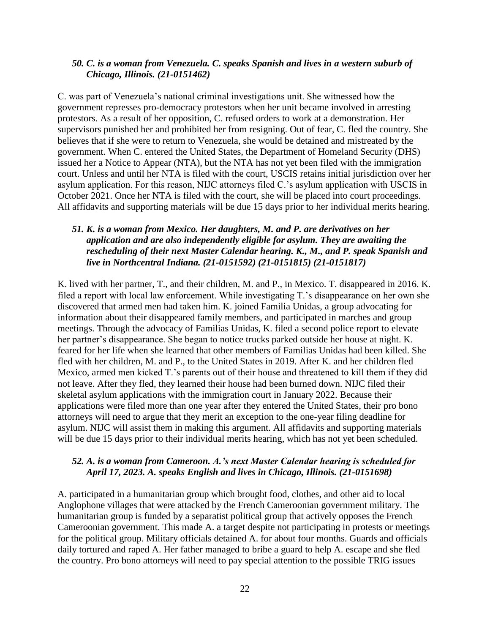#### *50. C. is a woman from Venezuela. C. speaks Spanish and lives in a western suburb of Chicago, Illinois. (21-0151462)*

C. was part of Venezuela's national criminal investigations unit. She witnessed how the government represses pro-democracy protestors when her unit became involved in arresting protestors. As a result of her opposition, C. refused orders to work at a demonstration. Her supervisors punished her and prohibited her from resigning. Out of fear, C. fled the country. She believes that if she were to return to Venezuela, she would be detained and mistreated by the government. When C. entered the United States, the Department of Homeland Security (DHS) issued her a Notice to Appear (NTA), but the NTA has not yet been filed with the immigration court. Unless and until her NTA is filed with the court, USCIS retains initial jurisdiction over her asylum application. For this reason, NIJC attorneys filed C.'s asylum application with USCIS in October 2021. Once her NTA is filed with the court, she will be placed into court proceedings. All affidavits and supporting materials will be due 15 days prior to her individual merits hearing.

#### *51. K. is a woman from Mexico. Her daughters, M. and P. are derivatives on her application and are also independently eligible for asylum. They are awaiting the rescheduling of their next Master Calendar hearing. K., M., and P. speak Spanish and live in Northcentral Indiana. (21-0151592) (21-0151815) (21-0151817)*

K. lived with her partner, T., and their children, M. and P., in Mexico. T. disappeared in 2016. K. filed a report with local law enforcement. While investigating T.'s disappearance on her own she discovered that armed men had taken him. K. joined Familia Unidas, a group advocating for information about their disappeared family members, and participated in marches and group meetings. Through the advocacy of Familias Unidas, K. filed a second police report to elevate her partner's disappearance. She began to notice trucks parked outside her house at night. K. feared for her life when she learned that other members of Familias Unidas had been killed. She fled with her children, M. and P., to the United States in 2019. After K. and her children fled Mexico, armed men kicked T.'s parents out of their house and threatened to kill them if they did not leave. After they fled, they learned their house had been burned down. NIJC filed their skeletal asylum applications with the immigration court in January 2022. Because their applications were filed more than one year after they entered the United States, their pro bono attorneys will need to argue that they merit an exception to the one-year filing deadline for asylum. NIJC will assist them in making this argument. All affidavits and supporting materials will be due 15 days prior to their individual merits hearing, which has not yet been scheduled.

#### *52. A. is a woman from Cameroon. A.'s next Master Calendar hearing is scheduled for April 17, 2023. A. speaks English and lives in Chicago, Illinois. (21-0151698)*

A. participated in a humanitarian group which brought food, clothes, and other aid to local Anglophone villages that were attacked by the French Cameroonian government military. The humanitarian group is funded by a separatist political group that actively opposes the French Cameroonian government. This made A. a target despite not participating in protests or meetings for the political group. Military officials detained A. for about four months. Guards and officials daily tortured and raped A. Her father managed to bribe a guard to help A. escape and she fled the country. Pro bono attorneys will need to pay special attention to the possible TRIG issues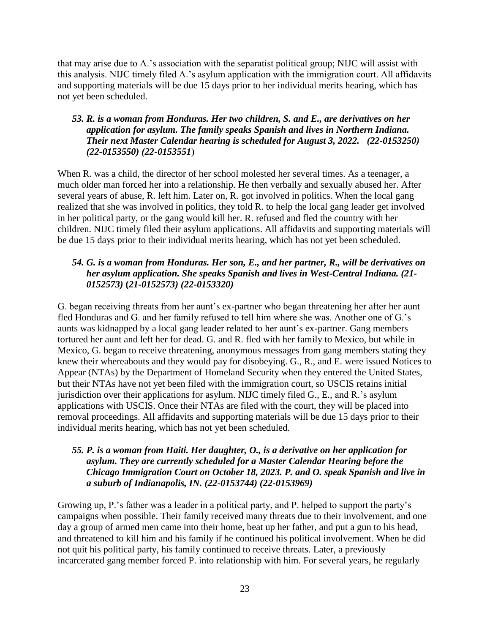that may arise due to A.'s association with the separatist political group; NIJC will assist with this analysis. NIJC timely filed A.'s asylum application with the immigration court. All affidavits and supporting materials will be due 15 days prior to her individual merits hearing, which has not yet been scheduled.

## *53. R. is a woman from Honduras. Her two children, S. and E., are derivatives on her application for asylum. The family speaks Spanish and lives in Northern Indiana. Their next Master Calendar hearing is scheduled for August 3, 2022. (22-0153250) (22-0153550) (22-0153551*)

When R. was a child, the director of her school molested her several times. As a teenager, a much older man forced her into a relationship. He then verbally and sexually abused her. After several years of abuse, R. left him. Later on, R. got involved in politics. When the local gang realized that she was involved in politics, they told R. to help the local gang leader get involved in her political party, or the gang would kill her. R. refused and fled the country with her children. NIJC timely filed their asylum applications. All affidavits and supporting materials will be due 15 days prior to their individual merits hearing, which has not yet been scheduled.

## *54. G. is a woman from Honduras. Her son, E., and her partner, R., will be derivatives on her asylum application. She speaks Spanish and lives in West-Central Indiana. (21- 0152573)* **(***21-0152573) (22-0153320)*

G. began receiving threats from her aunt's ex-partner who began threatening her after her aunt fled Honduras and G. and her family refused to tell him where she was. Another one of G.'s aunts was kidnapped by a local gang leader related to her aunt's ex-partner. Gang members tortured her aunt and left her for dead. G. and R. fled with her family to Mexico, but while in Mexico, G. began to receive threatening, anonymous messages from gang members stating they knew their whereabouts and they would pay for disobeying. G., R., and E. were issued Notices to Appear (NTAs) by the Department of Homeland Security when they entered the United States, but their NTAs have not yet been filed with the immigration court, so USCIS retains initial jurisdiction over their applications for asylum. NIJC timely filed G., E., and R.'s asylum applications with USCIS. Once their NTAs are filed with the court, they will be placed into removal proceedings. All affidavits and supporting materials will be due 15 days prior to their individual merits hearing, which has not yet been scheduled.

## *55. P. is a woman from Haiti. Her daughter, O., is a derivative on her application for asylum. They are currently scheduled for a Master Calendar Hearing before the Chicago Immigration Court on October 18, 2023. P. and O. speak Spanish and live in a suburb of Indianapolis, IN. (22-0153744) (22-0153969)*

Growing up, P.'s father was a leader in a political party, and P. helped to support the party's campaigns when possible. Their family received many threats due to their involvement, and one day a group of armed men came into their home, beat up her father, and put a gun to his head, and threatened to kill him and his family if he continued his political involvement. When he did not quit his political party, his family continued to receive threats. Later, a previously incarcerated gang member forced P. into relationship with him. For several years, he regularly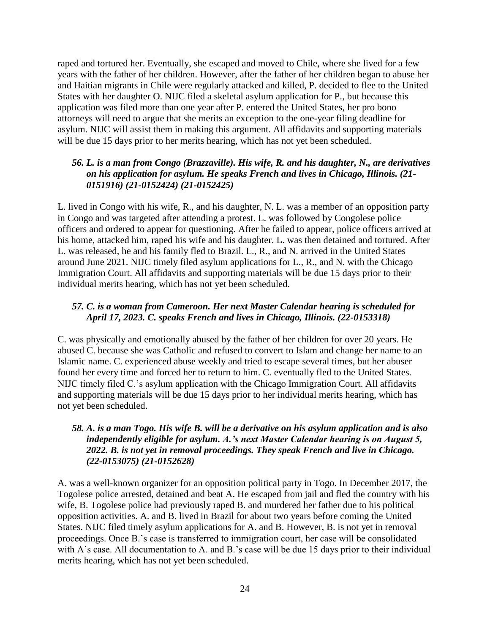raped and tortured her. Eventually, she escaped and moved to Chile, where she lived for a few years with the father of her children. However, after the father of her children began to abuse her and Haitian migrants in Chile were regularly attacked and killed, P. decided to flee to the United States with her daughter O. NIJC filed a skeletal asylum application for P., but because this application was filed more than one year after P. entered the United States, her pro bono attorneys will need to argue that she merits an exception to the one-year filing deadline for asylum. NIJC will assist them in making this argument. All affidavits and supporting materials will be due 15 days prior to her merits hearing, which has not yet been scheduled.

## *56. L. is a man from Congo (Brazzaville). His wife, R. and his daughter, N., are derivatives on his application for asylum. He speaks French and lives in Chicago, Illinois. (21- 0151916) (21-0152424) (21-0152425)*

L. lived in Congo with his wife, R., and his daughter, N. L. was a member of an opposition party in Congo and was targeted after attending a protest. L. was followed by Congolese police officers and ordered to appear for questioning. After he failed to appear, police officers arrived at his home, attacked him, raped his wife and his daughter. L. was then detained and tortured. After L. was released, he and his family fled to Brazil. L., R., and N. arrived in the United States around June 2021. NIJC timely filed asylum applications for L., R., and N. with the Chicago Immigration Court. All affidavits and supporting materials will be due 15 days prior to their individual merits hearing, which has not yet been scheduled.

## *57. C. is a woman from Cameroon. Her next Master Calendar hearing is scheduled for April 17, 2023. C. speaks French and lives in Chicago, Illinois. (22-0153318)*

C. was physically and emotionally abused by the father of her children for over 20 years. He abused C. because she was Catholic and refused to convert to Islam and change her name to an Islamic name. C. experienced abuse weekly and tried to escape several times, but her abuser found her every time and forced her to return to him. C. eventually fled to the United States. NIJC timely filed C.'s asylum application with the Chicago Immigration Court. All affidavits and supporting materials will be due 15 days prior to her individual merits hearing, which has not yet been scheduled.

## *58. A. is a man Togo. His wife B. will be a derivative on his asylum application and is also independently eligible for asylum. A.'s next Master Calendar hearing is on August 5, 2022. B. is not yet in removal proceedings. They speak French and live in Chicago. (22-0153075) (21-0152628)*

A. was a well-known organizer for an opposition political party in Togo. In December 2017, the Togolese police arrested, detained and beat A. He escaped from jail and fled the country with his wife, B. Togolese police had previously raped B. and murdered her father due to his political opposition activities. A. and B. lived in Brazil for about two years before coming the United States. NIJC filed timely asylum applications for A. and B. However, B. is not yet in removal proceedings. Once B.'s case is transferred to immigration court, her case will be consolidated with A's case. All documentation to A. and B.'s case will be due 15 days prior to their individual merits hearing, which has not yet been scheduled.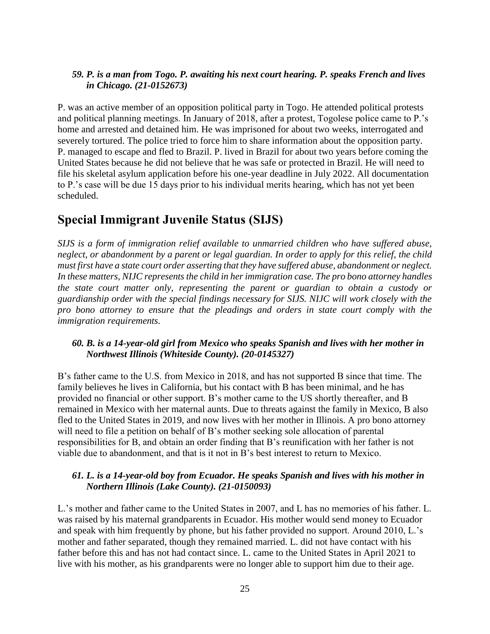## *59. P. is a man from Togo. P. awaiting his next court hearing. P. speaks French and lives in Chicago. (21-0152673)*

P. was an active member of an opposition political party in Togo. He attended political protests and political planning meetings. In January of 2018, after a protest, Togolese police came to P.'s home and arrested and detained him. He was imprisoned for about two weeks, interrogated and severely tortured. The police tried to force him to share information about the opposition party. P. managed to escape and fled to Brazil. P. lived in Brazil for about two years before coming the United States because he did not believe that he was safe or protected in Brazil. He will need to file his skeletal asylum application before his one-year deadline in July 2022. All documentation to P.'s case will be due 15 days prior to his individual merits hearing, which has not yet been scheduled.

# <span id="page-24-0"></span>**Special Immigrant Juvenile Status (SIJS)**

*SIJS is a form of immigration relief available to unmarried children who have suffered abuse, neglect, or abandonment by a parent or legal guardian. In order to apply for this relief, the child must first have a state court order asserting that they have suffered abuse, abandonment or neglect. In these matters, NIJC represents the child in her immigration case. The pro bono attorney handles the state court matter only, representing the parent or guardian to obtain a custody or guardianship order with the special findings necessary for SIJS. NIJC will work closely with the pro bono attorney to ensure that the pleadings and orders in state court comply with the immigration requirements.*

## *60. B. is a 14-year-old girl from Mexico who speaks Spanish and lives with her mother in Northwest Illinois (Whiteside County). (20-0145327)*

B's father came to the U.S. from Mexico in 2018, and has not supported B since that time. The family believes he lives in California, but his contact with B has been minimal, and he has provided no financial or other support. B's mother came to the US shortly thereafter, and B remained in Mexico with her maternal aunts. Due to threats against the family in Mexico, B also fled to the United States in 2019, and now lives with her mother in Illinois. A pro bono attorney will need to file a petition on behalf of B's mother seeking sole allocation of parental responsibilities for B, and obtain an order finding that B's reunification with her father is not viable due to abandonment, and that is it not in B's best interest to return to Mexico.

# *61. L. is a 14-year-old boy from Ecuador. He speaks Spanish and lives with his mother in Northern Illinois (Lake County). (21-0150093)*

L.'s mother and father came to the United States in 2007, and L has no memories of his father. L. was raised by his maternal grandparents in Ecuador. His mother would send money to Ecuador and speak with him frequently by phone, but his father provided no support. Around 2010, L.'s mother and father separated, though they remained married. L. did not have contact with his father before this and has not had contact since. L. came to the United States in April 2021 to live with his mother, as his grandparents were no longer able to support him due to their age.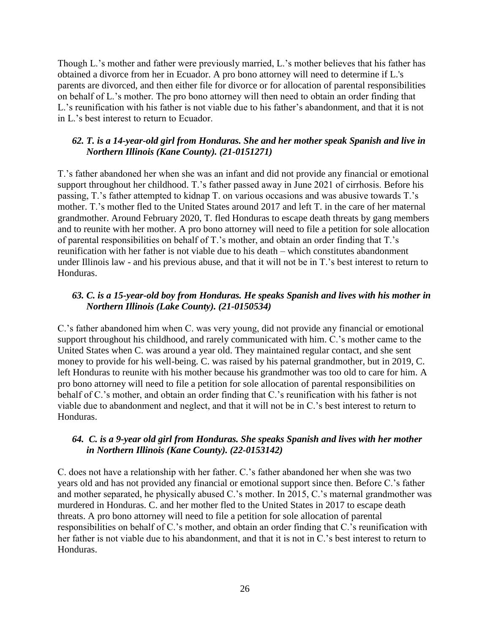Though L.'s mother and father were previously married, L.'s mother believes that his father has obtained a divorce from her in Ecuador. A pro bono attorney will need to determine if L.'s parents are divorced, and then either file for divorce or for allocation of parental responsibilities on behalf of L.'s mother. The pro bono attorney will then need to obtain an order finding that L.'s reunification with his father is not viable due to his father's abandonment, and that it is not in L.'s best interest to return to Ecuador.

## *62. T. is a 14-year-old girl from Honduras. She and her mother speak Spanish and live in Northern Illinois (Kane County). (21-0151271)*

T.'s father abandoned her when she was an infant and did not provide any financial or emotional support throughout her childhood. T.'s father passed away in June 2021 of cirrhosis. Before his passing, T.'s father attempted to kidnap T. on various occasions and was abusive towards T.'s mother. T.'s mother fled to the United States around 2017 and left T. in the care of her maternal grandmother. Around February 2020, T. fled Honduras to escape death threats by gang members and to reunite with her mother. A pro bono attorney will need to file a petition for sole allocation of parental responsibilities on behalf of T.'s mother, and obtain an order finding that T.'s reunification with her father is not viable due to his death – which constitutes abandonment under Illinois law - and his previous abuse, and that it will not be in T.'s best interest to return to Honduras.

## *63. C. is a 15-year-old boy from Honduras. He speaks Spanish and lives with his mother in Northern Illinois (Lake County). (21-0150534)*

C.'s father abandoned him when C. was very young, did not provide any financial or emotional support throughout his childhood, and rarely communicated with him. C.'s mother came to the United States when C. was around a year old. They maintained regular contact, and she sent money to provide for his well-being. C. was raised by his paternal grandmother, but in 2019, C. left Honduras to reunite with his mother because his grandmother was too old to care for him. A pro bono attorney will need to file a petition for sole allocation of parental responsibilities on behalf of C.'s mother, and obtain an order finding that C.'s reunification with his father is not viable due to abandonment and neglect, and that it will not be in C.'s best interest to return to Honduras.

## *64. C. is a 9-year old girl from Honduras. She speaks Spanish and lives with her mother in Northern Illinois (Kane County). (22-0153142)*

C. does not have a relationship with her father. C.'s father abandoned her when she was two years old and has not provided any financial or emotional support since then. Before C.'s father and mother separated, he physically abused C.'s mother. In 2015, C.'s maternal grandmother was murdered in Honduras. C. and her mother fled to the United States in 2017 to escape death threats. A pro bono attorney will need to file a petition for sole allocation of parental responsibilities on behalf of C.'s mother, and obtain an order finding that C.'s reunification with her father is not viable due to his abandonment, and that it is not in C.'s best interest to return to Honduras.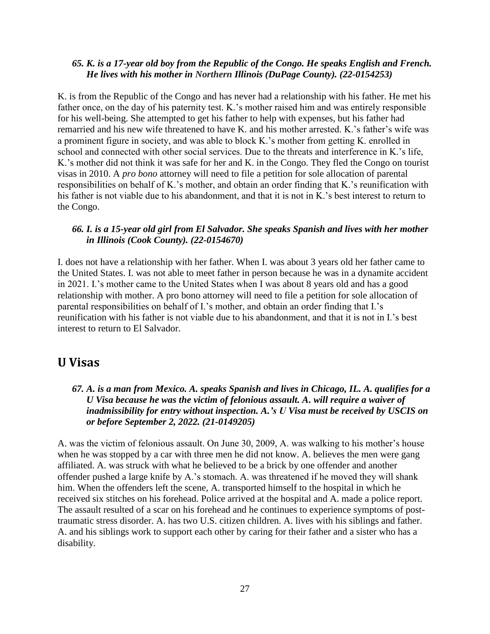#### *65. K. is a 17-year old boy from the Republic of the Congo. He speaks English and French. He lives with his mother in Northern Illinois (DuPage County). (22-0154253)*

K. is from the Republic of the Congo and has never had a relationship with his father. He met his father once, on the day of his paternity test. K.'s mother raised him and was entirely responsible for his well-being. She attempted to get his father to help with expenses, but his father had remarried and his new wife threatened to have K. and his mother arrested. K.'s father's wife was a prominent figure in society, and was able to block K.'s mother from getting K. enrolled in school and connected with other social services. Due to the threats and interference in K.'s life, K.'s mother did not think it was safe for her and K. in the Congo. They fled the Congo on tourist visas in 2010. A *pro bono* attorney will need to file a petition for sole allocation of parental responsibilities on behalf of K.'s mother, and obtain an order finding that K.'s reunification with his father is not viable due to his abandonment, and that it is not in K.'s best interest to return to the Congo.

#### *66. I. is a 15-year old girl from El Salvador. She speaks Spanish and lives with her mother in Illinois (Cook County). (22-0154670)*

I. does not have a relationship with her father. When I. was about 3 years old her father came to the United States. I. was not able to meet father in person because he was in a dynamite accident in 2021. I.'s mother came to the United States when I was about 8 years old and has a good relationship with mother. A pro bono attorney will need to file a petition for sole allocation of parental responsibilities on behalf of I.'s mother, and obtain an order finding that I.'s reunification with his father is not viable due to his abandonment, and that it is not in I.'s best interest to return to El Salvador.

# <span id="page-26-0"></span>**U Visas**

#### *67. A. is a man from Mexico. A. speaks Spanish and lives in Chicago, IL. A. qualifies for a U Visa because he was the victim of felonious assault. A. will require a waiver of inadmissibility for entry without inspection. A.'s U Visa must be received by USCIS on or before September 2, 2022. (21-0149205)*

A. was the victim of felonious assault. On June 30, 2009, A. was walking to his mother's house when he was stopped by a car with three men he did not know. A. believes the men were gang affiliated. A. was struck with what he believed to be a brick by one offender and another offender pushed a large knife by A.'s stomach. A. was threatened if he moved they will shank him. When the offenders left the scene, A. transported himself to the hospital in which he received six stitches on his forehead. Police arrived at the hospital and A. made a police report. The assault resulted of a scar on his forehead and he continues to experience symptoms of posttraumatic stress disorder. A. has two U.S. citizen children. A. lives with his siblings and father. A. and his siblings work to support each other by caring for their father and a sister who has a disability.